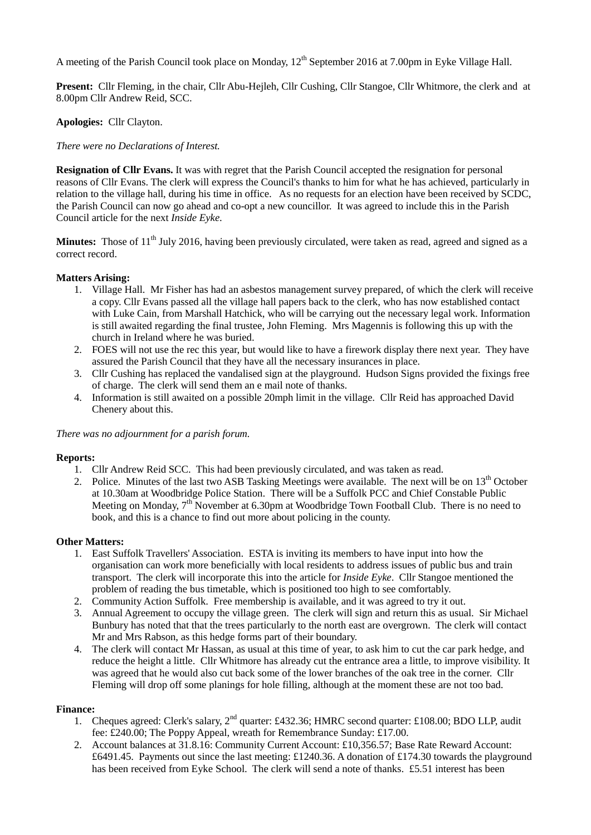A meeting of the Parish Council took place on Monday, 12<sup>th</sup> September 2016 at 7.00pm in Eyke Village Hall.

**Present:** Cllr Fleming, in the chair, Cllr Abu-Hejleh, Cllr Cushing, Cllr Stangoe, Cllr Whitmore, the clerk and at 8.00pm Cllr Andrew Reid, SCC.

# **Apologies:** Cllr Clayton.

# *There were no Declarations of Interest.*

**Resignation of Cllr Evans.** It was with regret that the Parish Council accepted the resignation for personal reasons of Cllr Evans. The clerk will express the Council's thanks to him for what he has achieved, particularly in relation to the village hall, during his time in office. As no requests for an election have been received by SCDC, the Parish Council can now go ahead and co-opt a new councillor. It was agreed to include this in the Parish Council article for the next *Inside Eyke*.

**Minutes:** Those of 11<sup>th</sup> July 2016, having been previously circulated, were taken as read, agreed and signed as a correct record.

### **Matters Arising:**

- 1. Village Hall. Mr Fisher has had an asbestos management survey prepared, of which the clerk will receive a copy. Cllr Evans passed all the village hall papers back to the clerk, who has now established contact with Luke Cain, from Marshall Hatchick, who will be carrying out the necessary legal work. Information is still awaited regarding the final trustee, John Fleming. Mrs Magennis is following this up with the church in Ireland where he was buried.
- 2. FOES will not use the rec this year, but would like to have a firework display there next year. They have assured the Parish Council that they have all the necessary insurances in place.
- 3. Cllr Cushing has replaced the vandalised sign at the playground. Hudson Signs provided the fixings free of charge. The clerk will send them an e mail note of thanks.
- 4. Information is still awaited on a possible 20mph limit in the village. Cllr Reid has approached David Chenery about this.

#### *There was no adjournment for a parish forum.*

#### **Reports:**

- 1. Cllr Andrew Reid SCC. This had been previously circulated, and was taken as read.
- 2. Police. Minutes of the last two ASB Tasking Meetings were available. The next will be on  $13<sup>th</sup>$  October at 10.30am at Woodbridge Police Station. There will be a Suffolk PCC and Chief Constable Public Meeting on Monday, 7<sup>th</sup> November at 6.30pm at Woodbridge Town Football Club. There is no need to book, and this is a chance to find out more about policing in the county.

#### **Other Matters:**

- 1. East Suffolk Travellers' Association. ESTA is inviting its members to have input into how the organisation can work more beneficially with local residents to address issues of public bus and train transport. The clerk will incorporate this into the article for *Inside Eyke*. Cllr Stangoe mentioned the problem of reading the bus timetable, which is positioned too high to see comfortably.
- 2. Community Action Suffolk. Free membership is available, and it was agreed to try it out.
- 3. Annual Agreement to occupy the village green. The clerk will sign and return this as usual. Sir Michael Bunbury has noted that that the trees particularly to the north east are overgrown. The clerk will contact Mr and Mrs Rabson, as this hedge forms part of their boundary.
- 4. The clerk will contact Mr Hassan, as usual at this time of year, to ask him to cut the car park hedge, and reduce the height a little. Cllr Whitmore has already cut the entrance area a little, to improve visibility. It was agreed that he would also cut back some of the lower branches of the oak tree in the corner. Cllr Fleming will drop off some planings for hole filling, although at the moment these are not too bad.

#### **Finance:**

- 1. Cheques agreed: Clerk's salary,  $2<sup>nd</sup>$  quarter: £432.36; HMRC second quarter: £108.00; BDO LLP, audit fee: £240.00; The Poppy Appeal, wreath for Remembrance Sunday: £17.00.
- 2. Account balances at 31.8.16: Community Current Account: £10,356.57; Base Rate Reward Account: £6491.45. Payments out since the last meeting: £1240.36. A donation of £174.30 towards the playground has been received from Eyke School. The clerk will send a note of thanks. £5.51 interest has been